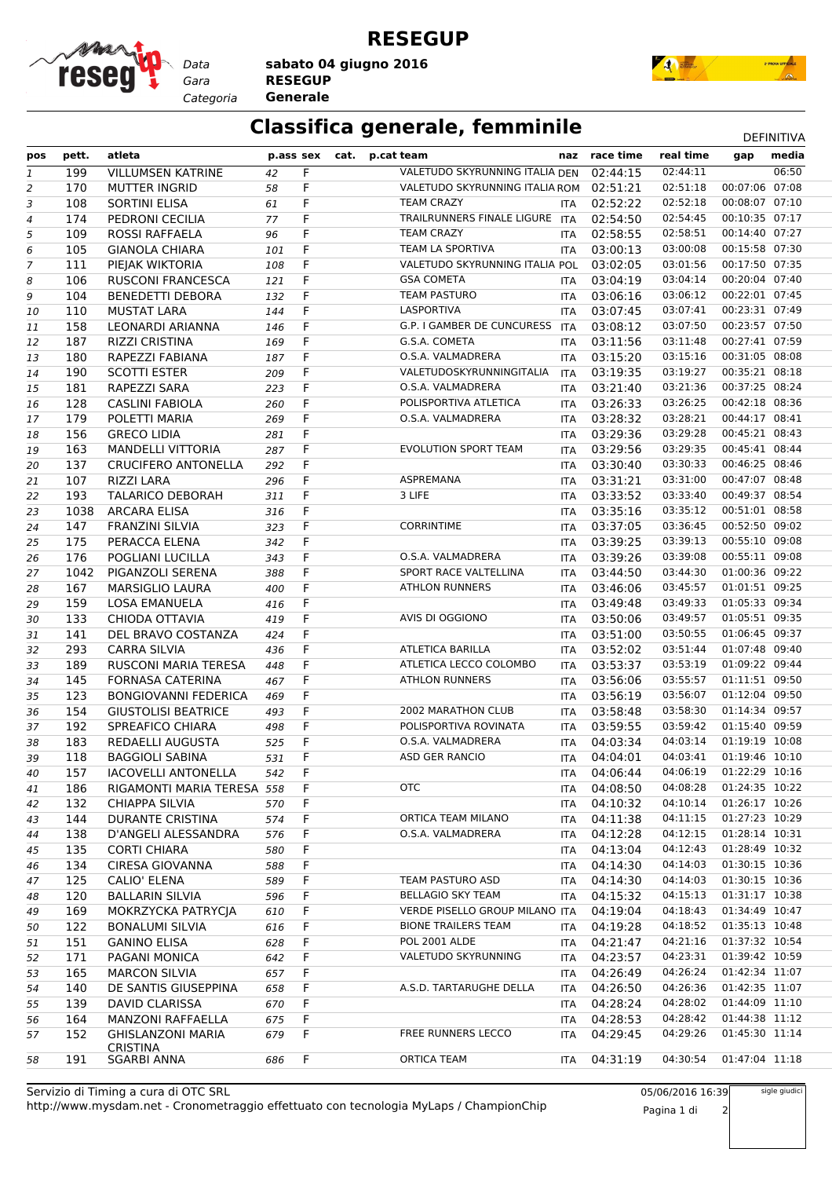

**RESEGUP**

*Gara* **RESEGUP sabato 04 giugno 2016**

*Categoria* **Generale**



## **Classifica generale, femminile** DEFINITIVA

| pos            | pett. | atleta                                      | p.ass sex |             | cat. | p.cat team                            | naz        | race time | real time                 | gap            | media |
|----------------|-------|---------------------------------------------|-----------|-------------|------|---------------------------------------|------------|-----------|---------------------------|----------------|-------|
|                | 199   |                                             |           | F           |      | VALETUDO SKYRUNNING ITALIA DEN        |            | 02:44:15  | 02:44:11                  |                | 06:50 |
| $\mathbf{1}$   |       | <b>VILLUMSEN KATRINE</b>                    | 42        |             |      |                                       |            |           |                           | 00:07:06 07:08 |       |
| 2              | 170   | <b>MUTTER INGRID</b>                        | 58        | F           |      | VALETUDO SKYRUNNING ITALIA ROM        |            | 02:51:21  | 02:51:18                  |                |       |
| 3              | 108   | <b>SORTINI ELISA</b>                        | 61        | F           |      | <b>TEAM CRAZY</b>                     | <b>ITA</b> | 02:52:22  | 02:52:18                  | 00:08:07 07:10 |       |
| 4              | 174   | PEDRONI CECILIA                             | 77        | F           |      | TRAILRUNNERS FINALE LIGURE ITA        |            | 02:54:50  | 02:54:45                  | 00:10:35 07:17 |       |
| 5              | 109   | <b>ROSSI RAFFAELA</b>                       | 96        | F           |      | <b>TEAM CRAZY</b>                     | <b>ITA</b> | 02:58:55  | 02:58:51                  | 00:14:40 07:27 |       |
| 6              | 105   | <b>GIANOLA CHIARA</b>                       | 101       | $\mathsf F$ |      | TEAM LA SPORTIVA                      | <b>ITA</b> | 03:00:13  | 03:00:08                  | 00:15:58 07:30 |       |
| $\overline{7}$ | 111   | PIEJAK WIKTORIA                             | 108       | F           |      | VALETUDO SKYRUNNING ITALIA POL        |            | 03:02:05  | 03:01:56                  | 00:17:50 07:35 |       |
| 8              | 106   | <b>RUSCONI FRANCESCA</b>                    | 121       | F           |      | <b>GSA COMETA</b>                     | <b>ITA</b> | 03:04:19  | 03:04:14                  | 00:20:04 07:40 |       |
| 9              | 104   | <b>BENEDETTI DEBORA</b>                     | 132       | F           |      | <b>TEAM PASTURO</b>                   | ITA        | 03:06:16  | 03:06:12                  | 00:22:01 07:45 |       |
| 10             | 110   | <b>MUSTAT LARA</b>                          | 144       | F           |      | LASPORTIVA                            | ITA        | 03:07:45  | 03:07:41                  | 00:23:31 07:49 |       |
| 11             | 158   | <b>LEONARDI ARIANNA</b>                     | 146       | F           |      | G.P. I GAMBER DE CUNCURESS ITA        |            | 03:08:12  | 03:07:50                  | 00:23:57 07:50 |       |
| 12             | 187   | <b>RIZZI CRISTINA</b>                       | 169       | $\mathsf F$ |      | G.S.A. COMETA                         | ITA        | 03:11:56  | 03:11:48                  | 00:27:41 07:59 |       |
| 13             | 180   | RAPEZZI FABIANA                             | 187       | F           |      | O.S.A. VALMADRERA                     | <b>ITA</b> | 03:15:20  | 03:15:16                  | 00:31:05 08:08 |       |
| 14             | 190   | <b>SCOTTI ESTER</b>                         | 209       | F           |      | VALETUDOSKYRUNNINGITALIA              | <b>ITA</b> | 03:19:35  | 03:19:27                  | 00:35:21 08:18 |       |
| 15             | 181   | RAPEZZI SARA                                | 223       | F           |      | O.S.A. VALMADRERA                     | <b>ITA</b> | 03:21:40  | 03:21:36                  | 00:37:25 08:24 |       |
| 16             | 128   | <b>CASLINI FABIOLA</b>                      | 260       | F           |      | POLISPORTIVA ATLETICA                 | <b>ITA</b> | 03:26:33  | 03:26:25                  | 00:42:18 08:36 |       |
| 17             | 179   | POLETTI MARIA                               | 269       | F           |      | O.S.A. VALMADRERA                     | <b>ITA</b> | 03:28:32  | 03:28:21                  | 00:44:17 08:41 |       |
|                | 156   | <b>GRECO LIDIA</b>                          |           | $\mathsf F$ |      |                                       |            | 03:29:36  | 03:29:28                  | 00:45:21 08:43 |       |
| 18             |       |                                             | 281       |             |      |                                       | ITA        |           | 03:29:35                  | 00:45:41 08:44 |       |
| 19             | 163   | <b>MANDELLI VITTORIA</b>                    | 287       | F           |      | <b>EVOLUTION SPORT TEAM</b>           | ITA        | 03:29:56  |                           |                |       |
| 20             | 137   | <b>CRUCIFERO ANTONELLA</b>                  | 292       | F           |      |                                       | ITA        | 03:30:40  | 03:30:33                  | 00:46:25 08:46 |       |
| 21             | 107   | <b>RIZZI LARA</b>                           | 296       | F           |      | ASPREMANA                             | <b>ITA</b> | 03:31:21  | 03:31:00                  | 00:47:07 08:48 |       |
| 22             | 193   | <b>TALARICO DEBORAH</b>                     | 311       | F           |      | 3 LIFE                                | ITA        | 03:33:52  | 03:33:40                  | 00:49:37 08:54 |       |
| 23             | 1038  | ARCARA ELISA                                | 316       | F           |      |                                       | <b>ITA</b> | 03:35:16  | 03:35:12                  | 00:51:01 08:58 |       |
| 24             | 147   | <b>FRANZINI SILVIA</b>                      | 323       | $\mathsf F$ |      | <b>CORRINTIME</b>                     | ITA        | 03:37:05  | 03:36:45                  | 00:52:50 09:02 |       |
| 25             | 175   | PERACCA ELENA                               | 342       | F           |      |                                       | ITA        | 03:39:25  | 03:39:13                  | 00:55:10 09:08 |       |
| 26             | 176   | POGLIANI LUCILLA                            | 343       | F           |      | O.S.A. VALMADRERA                     | <b>ITA</b> | 03:39:26  | 03:39:08                  | 00:55:11 09:08 |       |
| 27             | 1042  | PIGANZOLI SERENA                            | 388       | F           |      | SPORT RACE VALTELLINA                 | <b>ITA</b> | 03:44:50  | 03:44:30                  | 01:00:36 09:22 |       |
| 28             | 167   | <b>MARSIGLIO LAURA</b>                      | 400       | F           |      | <b>ATHLON RUNNERS</b>                 | ITA        | 03:46:06  | 03:45:57                  | 01:01:51 09:25 |       |
| 29             | 159   | <b>LOSA EMANUELA</b>                        | 416       | F           |      |                                       | <b>ITA</b> | 03:49:48  | 03:49:33                  | 01:05:33 09:34 |       |
| 30             | 133   | CHIODA OTTAVIA                              | 419       | F           |      | AVIS DI OGGIONO                       | ITA        | 03:50:06  | 03:49:57                  | 01:05:51 09:35 |       |
| 31             | 141   | DEL BRAVO COSTANZA                          | 424       | $\mathsf F$ |      |                                       | ITA        | 03:51:00  | 03:50:55                  | 01:06:45 09:37 |       |
| 32             | 293   | <b>CARRA SILVIA</b>                         | 436       | F           |      | ATLETICA BARILLA                      | <b>ITA</b> | 03:52:02  | 03:51:44                  | 01:07:48 09:40 |       |
| 33             | 189   | RUSCONI MARIA TERESA                        | 448       | F           |      | ATLETICA LECCO COLOMBO                | ITA        | 03:53:37  | 03:53:19                  | 01:09:22 09:44 |       |
| 34             | 145   | FORNASA CATERINA                            | 467       | F           |      | <b>ATHLON RUNNERS</b>                 | ITA        | 03:56:06  | 03:55:57                  | 01:11:51 09:50 |       |
| 35             | 123   | <b>BONGIOVANNI FEDERICA</b>                 | 469       | F           |      |                                       | ITA        | 03:56:19  | 03:56:07                  | 01:12:04 09:50 |       |
| 36             | 154   | <b>GIUSTOLISI BEATRICE</b>                  | 493       | $\mathsf F$ |      | 2002 MARATHON CLUB                    | <b>ITA</b> | 03:58:48  | 03:58:30                  | 01:14:34 09:57 |       |
|                | 192   |                                             |           | $\mathsf F$ |      | POLISPORTIVA ROVINATA                 |            | 03:59:55  | 03:59:42                  | 01:15:40 09:59 |       |
| 37             |       | SPREAFICO CHIARA                            | 498       | F           |      | O.S.A. VALMADRERA                     | ITA        |           | 04:03:14                  | 01:19:19 10:08 |       |
| 38             | 183   | REDAELLI AUGUSTA                            | 525       |             |      |                                       | <b>ITA</b> | 04:03:34  |                           |                |       |
| 39             | 118   | <b>BAGGIOLI SABINA</b>                      | 531       | F           |      | ASD GER RANCIO                        | <b>ITA</b> | 04:04:01  | 04:03:41                  | 01:19:46 10:10 |       |
| 40             | 157   | <b>IACOVELLI ANTONELLA</b>                  | 542       | F           |      |                                       | ITA        | 04:06:44  | 04:06:19  01:22:29  10:16 |                |       |
| 41             | 186   | RIGAMONTI MARIA TERESA 558                  |           | F           |      | <b>OTC</b>                            | ITA        | 04:08:50  | 04:08:28                  | 01:24:35 10:22 |       |
| 42             | 132   | CHIAPPA SILVIA                              | 570       | F           |      |                                       | ITA        | 04:10:32  | 04:10:14                  | 01:26:17 10:26 |       |
| 43             | 144   | <b>DURANTE CRISTINA</b>                     | 574       | F           |      | ORTICA TEAM MILANO                    | ITA        | 04:11:38  | 04:11:15                  | 01:27:23 10:29 |       |
| 44             | 138   | D'ANGELI ALESSANDRA                         | 576       | F           |      | O.S.A. VALMADRERA                     | ITA        | 04:12:28  | 04:12:15                  | 01:28:14 10:31 |       |
| 45             | 135   | <b>CORTI CHIARA</b>                         | 580       | F           |      |                                       | ITA        | 04:13:04  | 04:12:43                  | 01:28:49 10:32 |       |
| 46             | 134   | <b>CIRESA GIOVANNA</b>                      | 588       | F           |      |                                       | ITA        | 04:14:30  | 04:14:03                  | 01:30:15 10:36 |       |
| 47             | 125   | CALIO' ELENA                                | 589       | F           |      | TEAM PASTURO ASD                      | ITA        | 04:14:30  | 04:14:03                  | 01:30:15 10:36 |       |
| 48             | 120   | <b>BALLARIN SILVIA</b>                      | 596       | F           |      | <b>BELLAGIO SKY TEAM</b>              | ITA        | 04:15:32  | 04:15:13                  | 01:31:17 10:38 |       |
| 49             | 169   | MOKRZYCKA PATRYCJA                          | 610       | F           |      | <b>VERDE PISELLO GROUP MILANO ITA</b> |            | 04:19:04  | 04:18:43                  | 01:34:49 10:47 |       |
| 50             | 122   | <b>BONALUMI SILVIA</b>                      | 616       | F           |      | <b>BIONE TRAILERS TEAM</b>            | ITA        | 04:19:28  | 04:18:52                  | 01:35:13 10:48 |       |
| 51             | 151   | <b>GANINO ELISA</b>                         | 628       | F           |      | POL 2001 ALDE                         | ITA        | 04:21:47  | 04:21:16                  | 01:37:32 10:54 |       |
| 52             | 171   | PAGANI MONICA                               | 642       | F           |      | VALETUDO SKYRUNNING                   | ITA        | 04:23:57  | 04:23:31                  | 01:39:42 10:59 |       |
| 53             | 165   | <b>MARCON SILVIA</b>                        | 657       | F           |      |                                       | ITA        | 04:26:49  | 04:26:24                  | 01:42:34 11:07 |       |
| 54             | 140   | DE SANTIS GIUSEPPINA                        | 658       | F           |      | A.S.D. TARTARUGHE DELLA               | ITA        | 04:26:50  | 04:26:36                  | 01:42:35 11:07 |       |
| 55             | 139   | DAVID CLARISSA                              | 670       | F           |      |                                       | ITA        | 04:28:24  | 04:28:02                  | 01:44:09 11:10 |       |
|                | 164   | <b>MANZONI RAFFAELLA</b>                    |           | F           |      |                                       |            | 04:28:53  | 04:28:42                  | 01:44:38 11:12 |       |
| 56             |       |                                             | 675       |             |      | FREE RUNNERS LECCO                    | ITA        |           | 04:29:26                  | 01:45:30 11:14 |       |
| 57             | 152   | <b>GHISLANZONI MARIA</b><br><b>CRISTINA</b> | 679       | F           |      |                                       | <b>ITA</b> | 04:29:45  |                           |                |       |
| 58             | 191   | <b>SGARBI ANNA</b>                          | 686       | F           |      | <b>ORTICA TEAM</b>                    | ITA        | 04:31:19  | 04:30:54                  | 01:47:04 11:18 |       |
|                |       |                                             |           |             |      |                                       |            |           |                           |                |       |

http://www.mysdam.net - Cronometraggio effettuato con tecnologia MyLaps / ChampionChip Servizio di Timing a cura di OTC SRL

05/06/2016 16:39 Pagina 1 di 2

sigle giudici